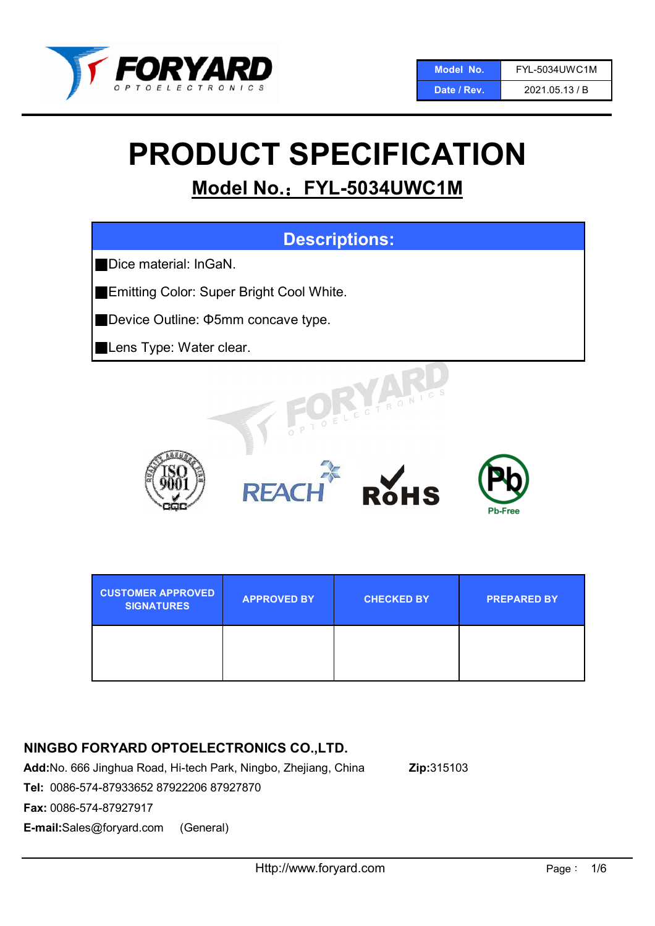

# PRODUCT SPECIFICATION

# Model No.: FYL-5034UWC1M



# NINGBO FORYARD OPTOELECTRONICS CO.,LTD.

Add:No. 666 Jinghua Road, Hi-tech Park, Ningbo, Zhejiang, China Zip:315103

Tel: 0086-574-87933652 87922206 87927870

Fax: 0086-574-87927917

E-mail:Sales@foryard.com (General)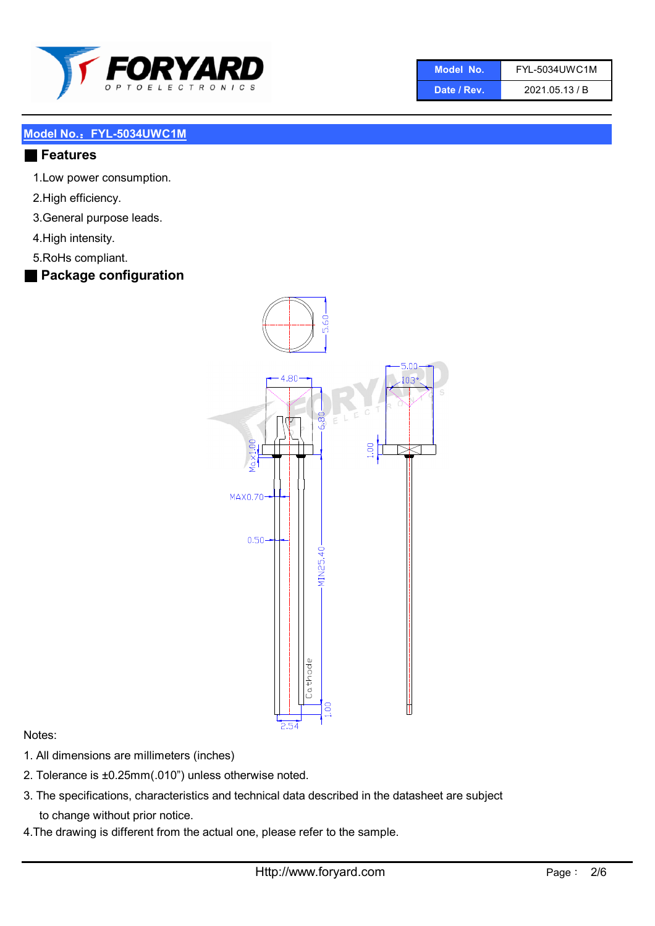

| Model No. | <b>FYL-5034UWC1M</b> |
|-----------|----------------------|
|           |                      |

Date / Rev. 2021.05.13 / B

#### Model No.: FYL-5034UWC1M

#### ■ Features

- 1.Low power consumption.
- 2.High efficiency.
- 3.General purpose leads.
- 4.High intensity.
- 5.RoHs compliant.

# ■ Package configuration



#### Notes:

- 1. All dimensions are millimeters (inches)
- 2. Tolerance is ±0.25mm(.010") unless otherwise noted.
- 3. The specifications, characteristics and technical data described in the datasheet are subject to change without prior notice.
- 4.The drawing is different from the actual one, please refer to the sample.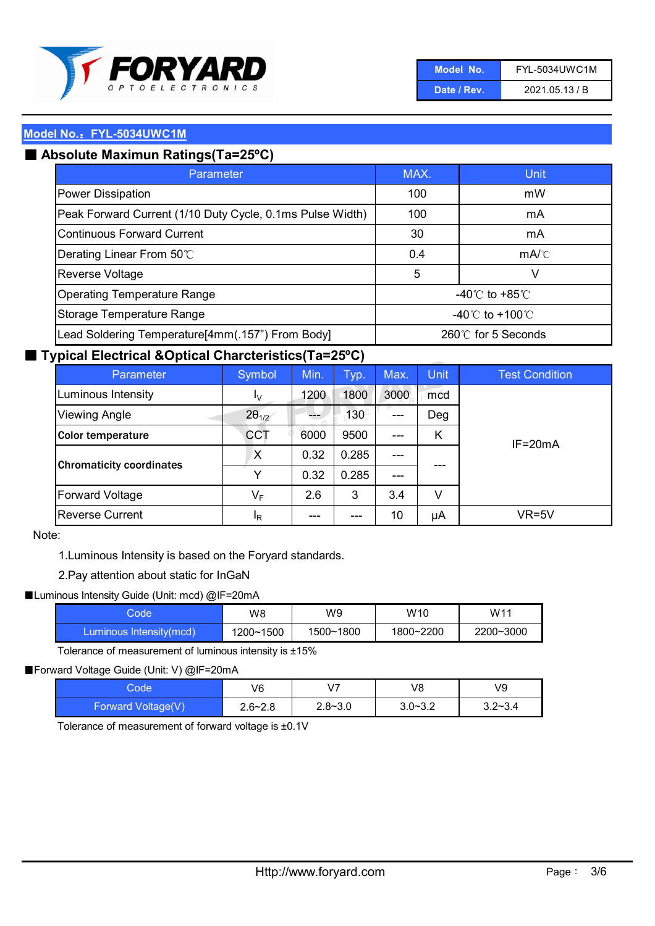

| Model No.   | <b>FYL-5034UWC1M</b> |
|-------------|----------------------|
| Date / Rev. | 2021.05.13 / B       |

# ■ Absolute Maximun Ratings(Ta=25°C)

| Parameter                                                 | MAX.                                | Unit                                 |
|-----------------------------------------------------------|-------------------------------------|--------------------------------------|
| Power Dissipation                                         | 100                                 | mW                                   |
| Peak Forward Current (1/10 Duty Cycle, 0.1ms Pulse Width) | 100                                 | mA                                   |
| <b>Continuous Forward Current</b>                         | 30                                  | mA                                   |
| Derating Linear From 50°C                                 | 0.4                                 | $mA$ <sup><math>\circ</math></sup> C |
| Reverse Voltage                                           | 5                                   | v                                    |
| <b>Operating Temperature Range</b>                        | -40 $\degree$ C to +85 $\degree$ C  |                                      |
| Storage Temperature Range                                 | $-40^{\circ}$ C to $+100^{\circ}$ C |                                      |
| Lead Soldering Temperature[4mm(.157") From Body]          | 260℃ for 5 Seconds                  |                                      |

## ■ Typical Electrical &Optical Charcteristics(Ta=25°C)

| Parameter                       | Symbol                  | Min. | Typ.        | Max.  | <b>Unit</b> | <b>Test Condition</b> |
|---------------------------------|-------------------------|------|-------------|-------|-------------|-----------------------|
| Luminous Intensity              | $I_{\rm V}$             | 1200 | 1800        | 3000  | mcd         |                       |
| <b>Viewing Angle</b>            | $2\theta_{1/2}$         |      | $130^\circ$ | ---   | Deg         |                       |
| <b>Color temperature</b>        | <b>CCT</b>              | 6000 | 9500        | ---   | Κ           | $IF = 20mA$           |
|                                 | X                       | 0.32 | 0.285       | ---   |             |                       |
| <b>Chromaticity coordinates</b> | Y                       | 0.32 | 0.285       | $---$ |             |                       |
| Forward Voltage                 | $\mathsf{V}_\mathsf{F}$ | 2.6  | 3           | 3.4   | V           |                       |
| <b>Reverse Current</b>          | <sup>I</sup> R          | ---  | ---         | 10    | μA          | VR=5V                 |

#### Note:

1.Luminous Intensity is based on the Foryard standards.

#### 2.Pay attention about static for InGaN

#### ■Luminous Intensity Guide (Unit: mcd) @IF=20mA

| Code                    | W8        | W9        | W <sub>10</sub> | W11       |
|-------------------------|-----------|-----------|-----------------|-----------|
| Luminous Intensity(mcd) | 1200~1500 | 1500~1800 | 1800~2200       | 2200~3000 |

Tolerance of measurement of luminous intensity is ±15%

#### ■ Forward Voltage Guide (Unit: V) @IF=20mA

| Code               | V6          | V <sub>7</sub> | V8          | V9          |
|--------------------|-------------|----------------|-------------|-------------|
| Forward Voltage(V) | $2.6 - 2.8$ | $2.8 - 3.0$    | $3.0 - 3.2$ | $3.2 - 3.4$ |

Tolerance of measurement of forward voltage is ±0.1V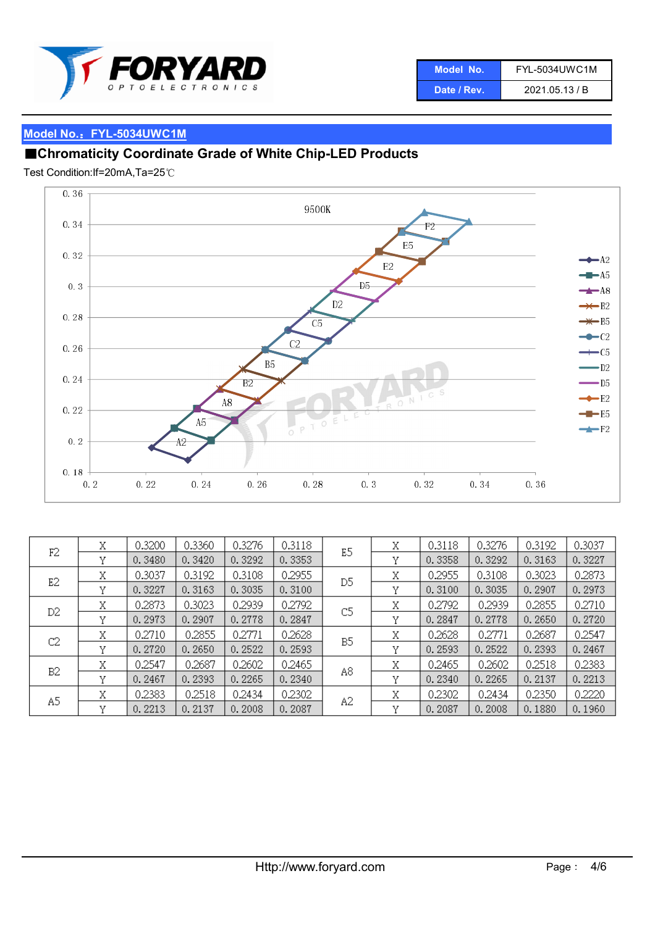

| Model No.   | <b>FYL-5034UWC1M</b> |
|-------------|----------------------|
| Date / Rev. | 2021.05.13 / B       |

# ■Chromaticity Coordinate Grade of White Chip-LED Products

Test Condition:If=20mA,Ta=25℃



|    | Χ | 0.3200 | 0.3360 | 0.3276 | 0.3118 |    | Χ | 0.3118 | 0.3276 | 0.3192 | 0.3037 |
|----|---|--------|--------|--------|--------|----|---|--------|--------|--------|--------|
| F2 | v | 0.3480 | 0.3420 | 0.3292 | 0.3353 | E5 | v | 0.3358 | 0.3292 | 0.3163 | 0.3227 |
| E2 | Χ | 0.3037 | 0.3192 | 0.3108 | 0.2955 | D5 | Χ | 0.2955 | 0.3108 | 0.3023 | 0.2873 |
|    | v | 0.3227 | 0.3163 | 0.3035 | 0.3100 |    | v | 0.3100 | 0.3035 | 0.2907 | 0.2973 |
| D2 | Χ | 0.2873 | 0.3023 | 0.2939 | 0.2792 | C5 | Χ | 0.2792 | 0.2939 | 0.2855 | 0.2710 |
|    | v | 0.2973 | 0.2907 | 0.2778 | 0.2847 |    | v | 0.2847 | 0.2778 | 0.2650 | 0.2720 |
| C2 | Χ | 0.2710 | 0.2855 | 0.2771 | 0.2628 | B5 | Χ | 0.2628 | 0.2771 | 0.2687 | 0.2547 |
|    | v | 0.2720 | 0.2650 | 0.2522 | 0.2593 |    | v | 0.2593 | 0.2522 | 0.2393 | 0.2467 |
| B2 | Χ | 0.2547 | 0.2687 | 0.2602 | 0.2465 | A8 | Χ | 0.2465 | 0.2602 | 0.2518 | 0.2383 |
|    | v | 0.2467 | 0.2393 | 0.2265 | 0.2340 |    | v | 0.2340 | 0.2265 | 0.2137 | 0.2213 |
| A5 | Χ | 0.2383 | 0.2518 | 0.2434 | 0.2302 | A2 | Χ | 0.2302 | 0.2434 | 0.2350 | 0.2220 |
|    | v | 0.2213 | 0.2137 | 0.2008 | 0.2087 |    | v | 0.2087 | 0.2008 | 0.1880 | 0.1960 |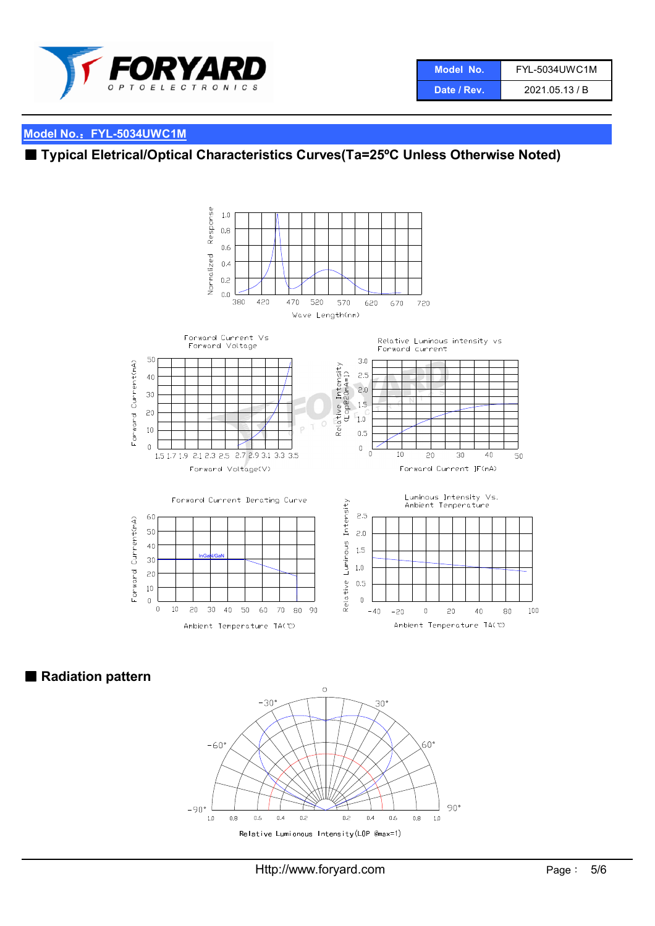

| Model No.   | FYL-5034UWC1M  |
|-------------|----------------|
| Date / Rev. | 2021.05.13 / B |

# ■ Typical Eletrical/Optical Characteristics Curves(Ta=25°C Unless Otherwise Noted)



■ Radiation pattern